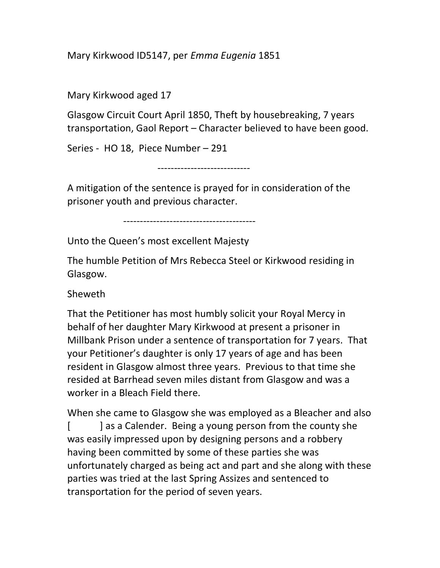Mary Kirkwood ID5147, per Emma Eugenia 1851

Mary Kirkwood aged 17

Glasgow Circuit Court April 1850, Theft by housebreaking, 7 years transportation, Gaol Report – Character believed to have been good.

Series - HO 18, Piece Number – 291

----------------------------

A mitigation of the sentence is prayed for in consideration of the prisoner youth and previous character.

----------------------------------------

Unto the Queen's most excellent Majesty

The humble Petition of Mrs Rebecca Steel or Kirkwood residing in Glasgow.

Sheweth

That the Petitioner has most humbly solicit your Royal Mercy in behalf of her daughter Mary Kirkwood at present a prisoner in Millbank Prison under a sentence of transportation for 7 years. That your Petitioner's daughter is only 17 years of age and has been resident in Glasgow almost three years. Previous to that time she resided at Barrhead seven miles distant from Glasgow and was a worker in a Bleach Field there.

When she came to Glasgow she was employed as a Bleacher and also [ ] as a Calender. Being a young person from the county she was easily impressed upon by designing persons and a robbery having been committed by some of these parties she was unfortunately charged as being act and part and she along with these parties was tried at the last Spring Assizes and sentenced to transportation for the period of seven years.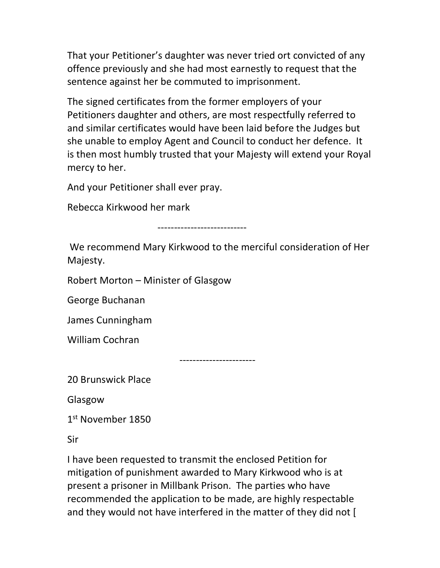That your Petitioner's daughter was never tried ort convicted of any offence previously and she had most earnestly to request that the sentence against her be commuted to imprisonment.

The signed certificates from the former employers of your Petitioners daughter and others, are most respectfully referred to and similar certificates would have been laid before the Judges but she unable to employ Agent and Council to conduct her defence. It is then most humbly trusted that your Majesty will extend your Royal mercy to her.

And your Petitioner shall ever pray.

Rebecca Kirkwood her mark

---------------------------

 We recommend Mary Kirkwood to the merciful consideration of Her Majesty.

Robert Morton – Minister of Glasgow

George Buchanan

James Cunningham

William Cochran

-----------------------

20 Brunswick Place

Glasgow

1 st November 1850

Sir

I have been requested to transmit the enclosed Petition for mitigation of punishment awarded to Mary Kirkwood who is at present a prisoner in Millbank Prison. The parties who have recommended the application to be made, are highly respectable and they would not have interfered in the matter of they did not [